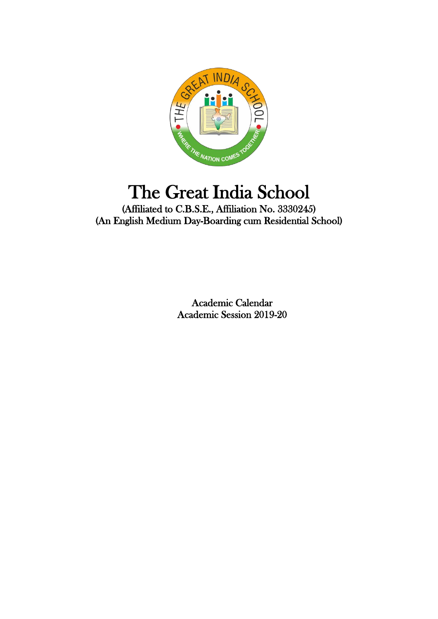

# The Great India School

(Affiliated to C.B.S.E., Affiliation No. 3330245) (An English Medium Day-Boarding cum Residential School)

> Academic Calendar Academic Session 2019-20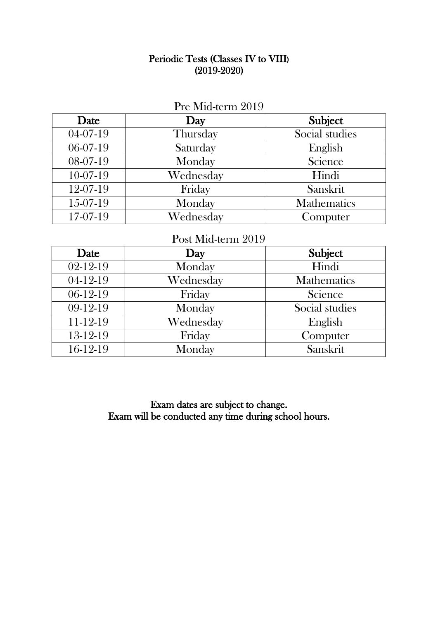### Periodic Tests (Classes IV to VIII) (2019-2020)

| Date           | Day       | Subject            |
|----------------|-----------|--------------------|
| $04 - 07 - 19$ | Thursday  | Social studies     |
| 06-07-19       | Saturday  | English            |
| 08-07-19       | Monday    | Science            |
| 10-07-19       | Wednesday | Hindi              |
| 12-07-19       | Friday    | Sanskrit           |
| 15-07-19       | Monday    | <b>Mathematics</b> |
| 17-07-19       | Wednesday | Computer           |

## $\mathbf{D}_{\text{rec}} \mathbf{M}$ ;  $\mathbf{J}$  terms 2010

# Post Mid-term 2019

| Date     | Day       | Subject            |
|----------|-----------|--------------------|
| 02-12-19 | Monday    | Hindi              |
| 04-12-19 | Wednesday | <b>Mathematics</b> |
| 06-12-19 | Friday    | Science            |
| 09-12-19 | Monday    | Social studies     |
| 11-12-19 | Wednesday | English            |
| 13-12-19 | Friday    | Computer           |
| 16-12-19 | Monday    | Sanskrit           |

Exam dates are subject to change. Exam will be conducted any time during school hours.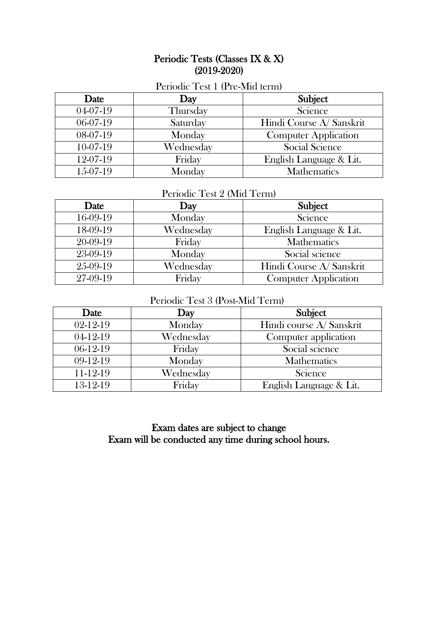#### Periodic Tests (Classes IX & X) (2019-2020)

| $\frac{1}{2}$ cho die $\frac{1}{2}$ coc $\frac{1}{2}$ (1 i.e. $\frac{1}{2}$ i.e. $\frac{1}{2}$ |           |                             |
|------------------------------------------------------------------------------------------------|-----------|-----------------------------|
| Date                                                                                           | Day       | Subject                     |
| 04-07-19                                                                                       | Thursday  | Science                     |
| $06-07-19$                                                                                     | Saturday  | Hindi Course A/ Sanskrit    |
| 08-07-19                                                                                       | Monday    | <b>Computer Application</b> |
| $10-07-19$                                                                                     | Wednesday | <b>Social Science</b>       |
| 12-07-19                                                                                       | Friday    | English Language & Lit.     |
| $15-07-19$                                                                                     | Monday    | <b>Mathematics</b>          |

#### Periodic Test 1 (Pre-Mid term)

#### Periodic Test 2 (Mid Term)

| Date     | Day       | Subject                     |
|----------|-----------|-----------------------------|
| 16-09-19 | Monday    | Science                     |
| 18-09-19 | Wednesday | English Language & Lit.     |
| 20-09-19 | Friday    | <b>Mathematics</b>          |
| 23-09-19 | Monday    | Social science              |
| 25-09-19 | Wednesday | Hindi Course A/ Sanskrit    |
| 27-09-19 | Friday    | <b>Computer Application</b> |

#### Periodic Test 3 (Post-Mid Term)

| Date           | Day       | Subject                  |
|----------------|-----------|--------------------------|
| $02 - 12 - 19$ | Monday    | Hindi course A/ Sanskrit |
| $04-12-19$     | Wednesday | Computer application     |
| 06-12-19       | Friday    | Social science           |
| $09-12-19$     | Monday    | <b>Mathematics</b>       |
| 11-12-19       | Wednesday | Science                  |
| 13-12-19       | Friday    | English Language & Lit.  |

Exam dates are subject to change Exam will be conducted any time during school hours.